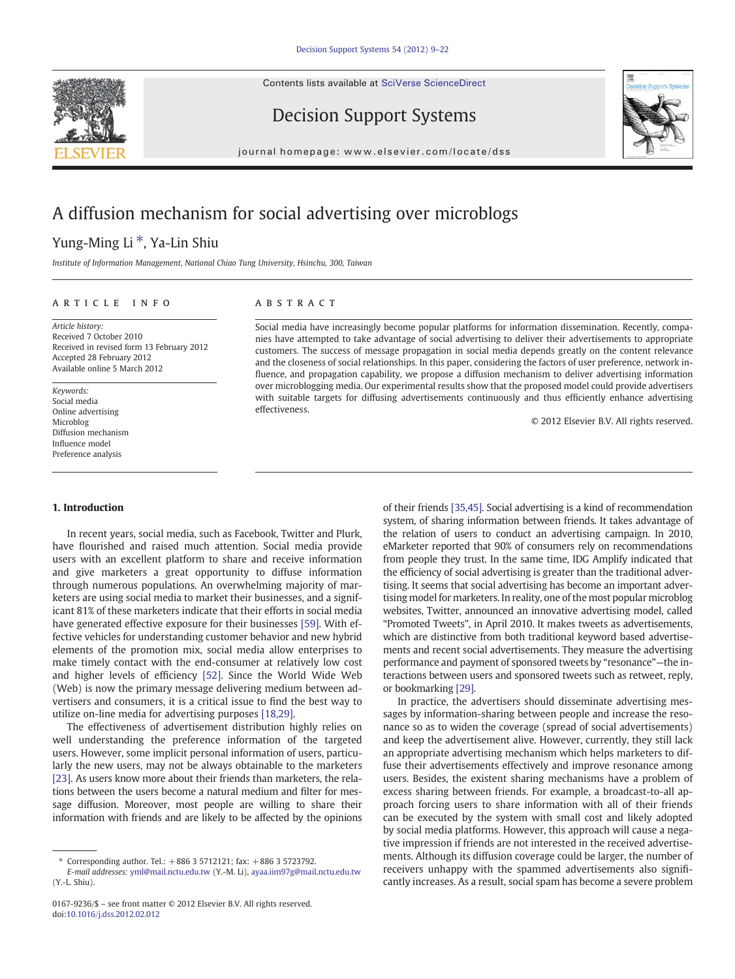Contents lists available at [SciVerse ScienceDirect](http://www.sciencedirect.com/science/journal/01679236)





Decision Support Systems

journal homepage: www.elsevier.com/locate/dss

## A diffusion mechanism for social advertising over microblogs

### Yung-Ming Li<sup>\*</sup>, Ya-Lin Shiu

Institute of Information Management, National Chiao Tung University, Hsinchu, 300, Taiwan

#### article info abstract

Article history: Received 7 October 2010 Received in revised form 13 February 2012 Accepted 28 February 2012 Available online 5 March 2012

Keywords: Social media Online advertising Microblog Diffusion mechanism Influence model Preference analysis

### 1. Introduction

In recent years, social media, such as Facebook, Twitter and Plurk, have flourished and raised much attention. Social media provide users with an excellent platform to share and receive information and give marketers a great opportunity to diffuse information through numerous populations. An overwhelming majority of marketers are using social media to market their businesses, and a significant 81% of these marketers indicate that their efforts in social media have generated effective exposure for their businesses [\[59\].](#page--1-0) With effective vehicles for understanding customer behavior and new hybrid elements of the promotion mix, social media allow enterprises to make timely contact with the end-consumer at relatively low cost and higher levels of efficiency [\[52\]](#page--1-0). Since the World Wide Web (Web) is now the primary message delivering medium between advertisers and consumers, it is a critical issue to find the best way to utilize on-line media for advertising purposes [\[18,29\]](#page--1-0).

The effectiveness of advertisement distribution highly relies on well understanding the preference information of the targeted users. However, some implicit personal information of users, particularly the new users, may not be always obtainable to the marketers [\[23\]](#page--1-0). As users know more about their friends than marketers, the relations between the users become a natural medium and filter for message diffusion. Moreover, most people are willing to share their information with friends and are likely to be affected by the opinions

Social media have increasingly become popular platforms for information dissemination. Recently, companies have attempted to take advantage of social advertising to deliver their advertisements to appropriate customers. The success of message propagation in social media depends greatly on the content relevance and the closeness of social relationships. In this paper, considering the factors of user preference, network influence, and propagation capability, we propose a diffusion mechanism to deliver advertising information over microblogging media. Our experimental results show that the proposed model could provide advertisers with suitable targets for diffusing advertisements continuously and thus efficiently enhance advertising effectiveness.

© 2012 Elsevier B.V. All rights reserved.

of their friends [\[35,45\].](#page--1-0) Social advertising is a kind of recommendation system, of sharing information between friends. It takes advantage of the relation of users to conduct an advertising campaign. In 2010, eMarketer reported that 90% of consumers rely on recommendations from people they trust. In the same time, IDG Amplify indicated that the efficiency of social advertising is greater than the traditional advertising. It seems that social advertising has become an important advertising model for marketers. In reality, one of the most popular microblog websites, Twitter, announced an innovative advertising model, called "Promoted Tweets", in April 2010. It makes tweets as advertisements, which are distinctive from both traditional keyword based advertisements and recent social advertisements. They measure the advertising performance and payment of sponsored tweets by "resonance"—the interactions between users and sponsored tweets such as retweet, reply, or bookmarking [\[29\].](#page--1-0)

In practice, the advertisers should disseminate advertising messages by information-sharing between people and increase the resonance so as to widen the coverage (spread of social advertisements) and keep the advertisement alive. However, currently, they still lack an appropriate advertising mechanism which helps marketers to diffuse their advertisements effectively and improve resonance among users. Besides, the existent sharing mechanisms have a problem of excess sharing between friends. For example, a broadcast-to-all approach forcing users to share information with all of their friends can be executed by the system with small cost and likely adopted by social media platforms. However, this approach will cause a negative impression if friends are not interested in the received advertisements. Although its diffusion coverage could be larger, the number of receivers unhappy with the spammed advertisements also significantly increases. As a result, social spam has become a severe problem

<sup>⁎</sup> Corresponding author. Tel.: +886 3 5712121; fax: +886 3 5723792.

E-mail addresses: [yml@mail.nctu.edu.tw](mailto:yml@mail.nctu.edu.tw) (Y.-M. Li), [ayaa.iim97g@mail.nctu.edu.tw](mailto:ayaa.iim97g@mail.nctu.edu.tw) (Y.-L. Shiu).

<sup>0167-9236/\$</sup> – see front matter © 2012 Elsevier B.V. All rights reserved. doi:[10.1016/j.dss.2012.02.012](http://dx.doi.org/10.1016/j.dss.2012.02.012)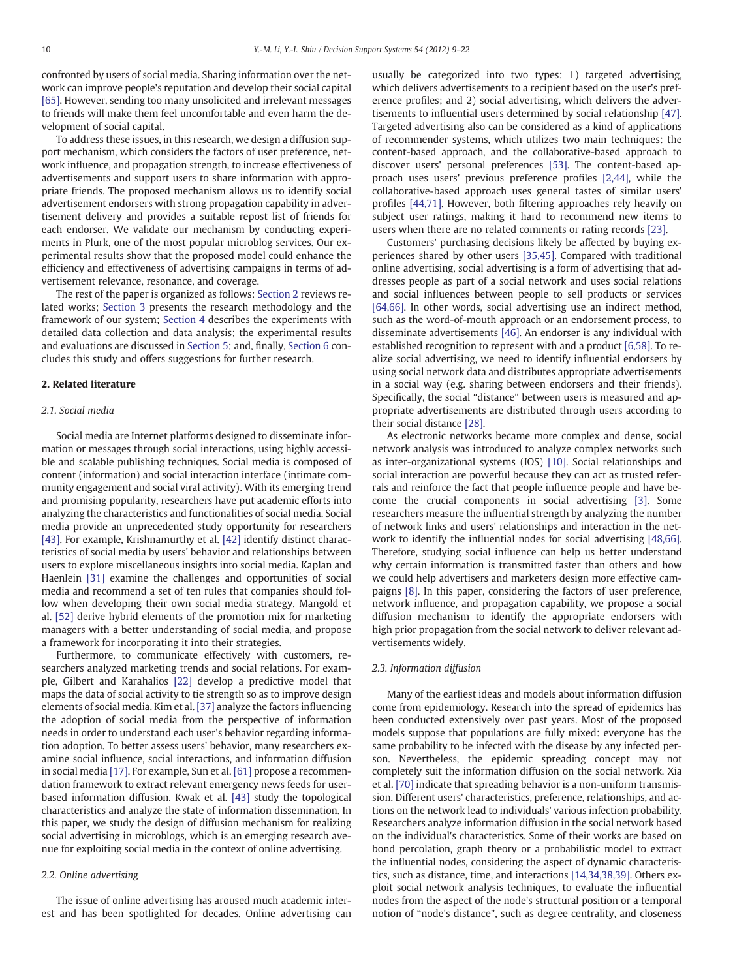confronted by users of social media. Sharing information over the network can improve people's reputation and develop their social capital [\[65\]](#page--1-0). However, sending too many unsolicited and irrelevant messages to friends will make them feel uncomfortable and even harm the development of social capital.

To address these issues, in this research, we design a diffusion support mechanism, which considers the factors of user preference, network influence, and propagation strength, to increase effectiveness of advertisements and support users to share information with appropriate friends. The proposed mechanism allows us to identify social advertisement endorsers with strong propagation capability in advertisement delivery and provides a suitable repost list of friends for each endorser. We validate our mechanism by conducting experiments in Plurk, one of the most popular microblog services. Our experimental results show that the proposed model could enhance the efficiency and effectiveness of advertising campaigns in terms of advertisement relevance, resonance, and coverage.

The rest of the paper is organized as follows: Section 2 reviews related works; [Section 3](#page--1-0) presents the research methodology and the framework of our system; [Section 4](#page--1-0) describes the experiments with detailed data collection and data analysis; the experimental results and evaluations are discussed in [Section 5](#page--1-0); and, finally, [Section 6](#page--1-0) concludes this study and offers suggestions for further research.

#### 2. Related literature

### 2.1. Social media

Social media are Internet platforms designed to disseminate information or messages through social interactions, using highly accessible and scalable publishing techniques. Social media is composed of content (information) and social interaction interface (intimate community engagement and social viral activity). With its emerging trend and promising popularity, researchers have put academic efforts into analyzing the characteristics and functionalities of social media. Social media provide an unprecedented study opportunity for researchers [\[43\]](#page--1-0). For example, Krishnamurthy et al. [\[42\]](#page--1-0) identify distinct characteristics of social media by users' behavior and relationships between users to explore miscellaneous insights into social media. Kaplan and Haenlein [\[31\]](#page--1-0) examine the challenges and opportunities of social media and recommend a set of ten rules that companies should follow when developing their own social media strategy. Mangold et al. [\[52\]](#page--1-0) derive hybrid elements of the promotion mix for marketing managers with a better understanding of social media, and propose a framework for incorporating it into their strategies.

Furthermore, to communicate effectively with customers, researchers analyzed marketing trends and social relations. For example, Gilbert and Karahalios [\[22\]](#page--1-0) develop a predictive model that maps the data of social activity to tie strength so as to improve design elements of social media. Kim et al. [\[37\]](#page--1-0) analyze the factors influencing the adoption of social media from the perspective of information needs in order to understand each user's behavior regarding information adoption. To better assess users' behavior, many researchers examine social influence, social interactions, and information diffusion in social media [\[17\].](#page--1-0) For example, Sun et al. [\[61\]](#page--1-0) propose a recommendation framework to extract relevant emergency news feeds for userbased information diffusion. Kwak et al. [\[43\]](#page--1-0) study the topological characteristics and analyze the state of information dissemination. In this paper, we study the design of diffusion mechanism for realizing social advertising in microblogs, which is an emerging research avenue for exploiting social media in the context of online advertising.

#### 2.2. Online advertising

The issue of online advertising has aroused much academic interest and has been spotlighted for decades. Online advertising can usually be categorized into two types: 1) targeted advertising, which delivers advertisements to a recipient based on the user's preference profiles; and 2) social advertising, which delivers the advertisements to influential users determined by social relationship [\[47\].](#page--1-0) Targeted advertising also can be considered as a kind of applications of recommender systems, which utilizes two main techniques: the content-based approach, and the collaborative-based approach to discover users' personal preferences [\[53\].](#page--1-0) The content-based approach uses users' previous preference profiles [\[2,44\]](#page--1-0), while the collaborative-based approach uses general tastes of similar users' profiles [\[44,71\].](#page--1-0) However, both filtering approaches rely heavily on subject user ratings, making it hard to recommend new items to users when there are no related comments or rating records [\[23\].](#page--1-0)

Customers' purchasing decisions likely be affected by buying experiences shared by other users [\[35,45\]](#page--1-0). Compared with traditional online advertising, social advertising is a form of advertising that addresses people as part of a social network and uses social relations and social influences between people to sell products or services [\[64,66\]](#page--1-0). In other words, social advertising use an indirect method, such as the word-of-mouth approach or an endorsement process, to disseminate advertisements [\[46\]](#page--1-0). An endorser is any individual with established recognition to represent with and a product [\[6,58\]](#page--1-0). To realize social advertising, we need to identify influential endorsers by using social network data and distributes appropriate advertisements in a social way (e.g. sharing between endorsers and their friends). Specifically, the social "distance" between users is measured and appropriate advertisements are distributed through users according to their social distance [\[28\].](http://www.wikinomics.com/blog/index.php/2009/04/22/twitter-advertising-pay-per-tweet/)

As electronic networks became more complex and dense, social network analysis was introduced to analyze complex networks such as inter-organizational systems (IOS) [\[10\].](#page--1-0) Social relationships and social interaction are powerful because they can act as trusted referrals and reinforce the fact that people influence people and have become the crucial components in social advertising [\[3\].](#page--1-0) Some researchers measure the influential strength by analyzing the number of network links and users' relationships and interaction in the network to identify the influential nodes for social advertising [\[48,66\].](#page--1-0) Therefore, studying social influence can help us better understand why certain information is transmitted faster than others and how we could help advertisers and marketers design more effective campaigns [\[8\].](#page--1-0) In this paper, considering the factors of user preference, network influence, and propagation capability, we propose a social diffusion mechanism to identify the appropriate endorsers with high prior propagation from the social network to deliver relevant advertisements widely.

#### 2.3. Information diffusion

Many of the earliest ideas and models about information diffusion come from epidemiology. Research into the spread of epidemics has been conducted extensively over past years. Most of the proposed models suppose that populations are fully mixed: everyone has the same probability to be infected with the disease by any infected person. Nevertheless, the epidemic spreading concept may not completely suit the information diffusion on the social network. Xia et al. [\[70\]](#page--1-0) indicate that spreading behavior is a non-uniform transmission. Different users' characteristics, preference, relationships, and actions on the network lead to individuals' various infection probability. Researchers analyze information diffusion in the social network based on the individual's characteristics. Some of their works are based on bond percolation, graph theory or a probabilistic model to extract the influential nodes, considering the aspect of dynamic characteristics, such as distance, time, and interactions [\[14,34,38,39\].](#page--1-0) Others exploit social network analysis techniques, to evaluate the influential nodes from the aspect of the node's structural position or a temporal notion of "node's distance", such as degree centrality, and closeness